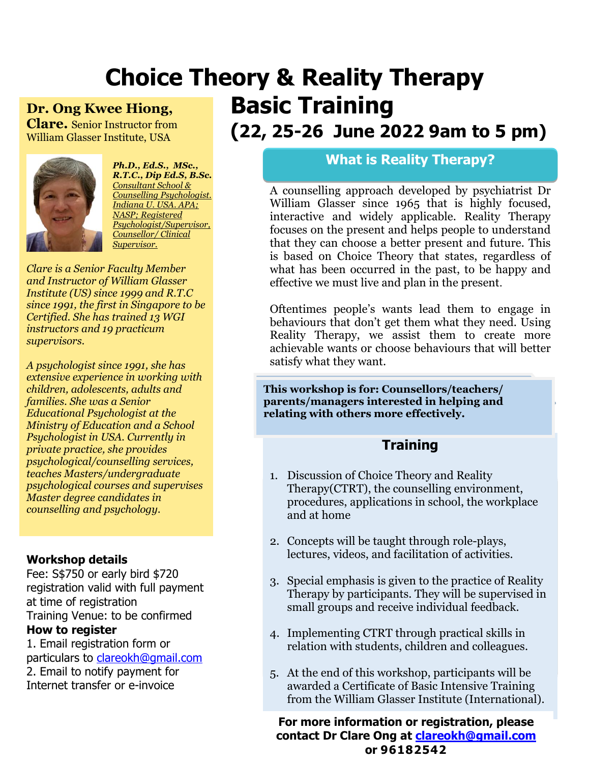## **Choice Theory & Reality Therapy Basic Training Dr. Ong Kwee Hiong,**

**Clare.** Senior Instructor from William Glasser Institute, USA



*Ph.D., Ed.S., MSc., R.T.C., Dip Ed.S, B.Sc. Consultant School & Counselling Psychologist. Indiana U. USA. APA; NASP; Registered Psychologist/Supervisor, Counsellor/ Clinical Supervisor.*

*Clare is a Senior Faculty Member and Instructor of William Glasser Institute (US) since 1999 and R.T.C since 1991, the first in Singapore to be Certified. She has trained 13 WGI instructors and 19 practicum supervisors.*

*A psychologist since 1991, she has extensive experience in working with children, adolescents, adults and families. She was a Senior Educational Psychologist at the Ministry of Education and a School Psychologist in USA. Currently in private practice, she provides psychological/counselling services, teaches Masters/undergraduate psychological courses and supervises Master degree candidates in counselling and psychology.* 

#### **Workshop details**

Fee: S\$750 or early bird \$720 registration valid with full payment at time of registration Training Venue: to be confirmed **How to register**

1. Email registration form or particulars to [clareokh@gmail.com](mailto:clareokh@gmail.com) 2. Email to notify payment for Internet transfer or e-invoice

# **(22, 25-26 June 2022 9am to 5 pm)**

#### **What is Reality Therapy?**

A counselling approach developed by psychiatrist Dr William Glasser since 1965 that is highly focused, interactive and widely applicable. Reality Therapy focuses on the present and helps people to understand that they can choose a better present and future. This is based on Choice Theory that states, regardless of what has been occurred in the past, to be happy and effective we must live and plan in the present.

Oftentimes people's wants lead them to engage in behaviours that don't get them what they need. Using Reality Therapy, we assist them to create more achievable wants or choose behaviours that will better satisfy what they want.

**This workshop is for: Counsellors/teachers/ parents/managers interested in helping and relating with others more effectively.**

### **Training**

- 1. Discussion of Choice Theory and Reality Therapy(CTRT), the counselling environment, procedures, applications in school, the workplace and at home
- 2. Concepts will be taught through role-plays, lectures, videos, and facilitation of activities.
- 3. Special emphasis is given to the practice of Reality Therapy by participants. They will be supervised in small groups and receive individual feedback.
- 4. Implementing CTRT through practical skills in relation with students, children and colleagues.
- 5. At the end of this workshop, participants will be awarded a Certificate of Basic Intensive Training from the William Glasser Institute (International).

**For more information or registration, please contact Dr Clare Ong at [clareokh@gmail.com](mailto:clareokh@gmail.com) or 96182542**